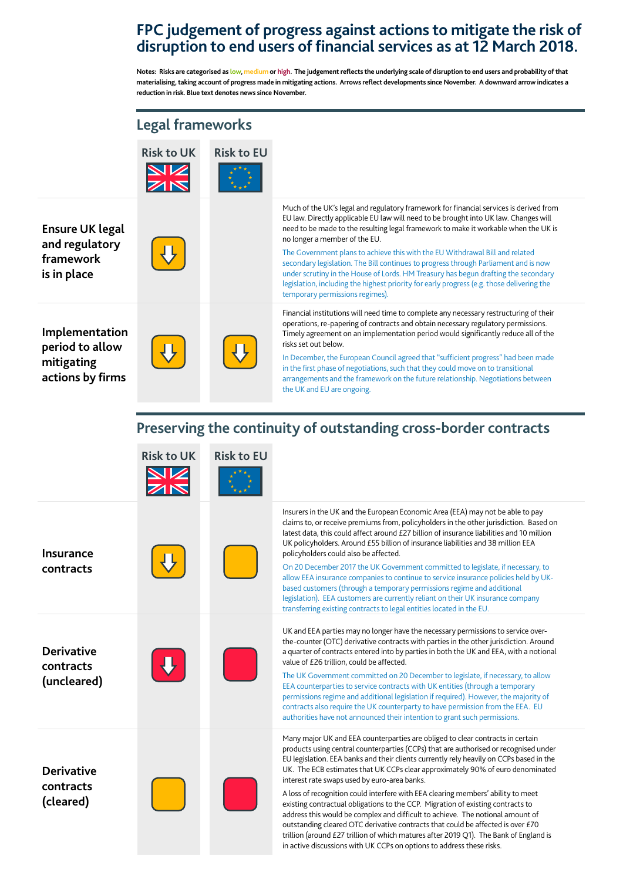## **FPC judgement of progress against actions to mitigate the risk of disruption to end users of financial services as at 12 March 2018.**

**Notes: Risks are categorised as low, medium or high. The judgement reflects the underlying scale of disruption to end users and probability of that materialising, taking account of progress made in mitigating actions. Arrows reflect developments since November. A downward arrow indicates a reduction in risk. Blue text denotes news since November.**

|                                                                      | <b>Legal frameworks</b> |                   |                                                                                                                                                                                                                                                                                                                                                                                                                                                                                                                                                                                                                                                                                                     |
|----------------------------------------------------------------------|-------------------------|-------------------|-----------------------------------------------------------------------------------------------------------------------------------------------------------------------------------------------------------------------------------------------------------------------------------------------------------------------------------------------------------------------------------------------------------------------------------------------------------------------------------------------------------------------------------------------------------------------------------------------------------------------------------------------------------------------------------------------------|
|                                                                      | <b>Risk to UK</b>       | <b>Risk to EU</b> |                                                                                                                                                                                                                                                                                                                                                                                                                                                                                                                                                                                                                                                                                                     |
| <b>Ensure UK legal</b><br>and regulatory<br>framework<br>is in place |                         |                   | Much of the UK's legal and regulatory framework for financial services is derived from<br>EU law. Directly applicable EU law will need to be brought into UK law. Changes will<br>need to be made to the resulting legal framework to make it workable when the UK is<br>no longer a member of the EU.<br>The Government plans to achieve this with the EU Withdrawal Bill and related<br>secondary legislation. The Bill continues to progress through Parliament and is now<br>under scrutiny in the House of Lords. HM Treasury has begun drafting the secondary<br>legislation, including the highest priority for early progress (e.g. those delivering the<br>temporary permissions regimes). |
| Implementation<br>period to allow<br>mitigating<br>actions by firms  |                         |                   | Financial institutions will need time to complete any necessary restructuring of their<br>operations, re-papering of contracts and obtain necessary regulatory permissions.<br>Timely agreement on an implementation period would significantly reduce all of the<br>risks set out below.<br>In December, the European Council agreed that "sufficient progress" had been made<br>in the first phase of negotiations, such that they could move on to transitional<br>arrangements and the framework on the future relationship. Negotiations between<br>the UK and EU are ongoing.                                                                                                                 |

## **Preserving the continuity of outstanding cross-border contracts**

|                                               | <b>Risk to UK</b><br>N<br>Z/N | <b>Risk to EU</b> |                                                                                                                                                                                                                                                                                                                                                                                                                                                                                                                                                                                                                                                                                                                                                                                                                                                                                                                   |
|-----------------------------------------------|-------------------------------|-------------------|-------------------------------------------------------------------------------------------------------------------------------------------------------------------------------------------------------------------------------------------------------------------------------------------------------------------------------------------------------------------------------------------------------------------------------------------------------------------------------------------------------------------------------------------------------------------------------------------------------------------------------------------------------------------------------------------------------------------------------------------------------------------------------------------------------------------------------------------------------------------------------------------------------------------|
| <b>Insurance</b>                              |                               |                   | Insurers in the UK and the European Economic Area (EEA) may not be able to pay<br>claims to, or receive premiums from, policyholders in the other jurisdiction. Based on<br>latest data, this could affect around £27 billion of insurance liabilities and 10 million<br>UK policyholders. Around £55 billion of insurance liabilities and 38 million EEA<br>policyholders could also be affected.                                                                                                                                                                                                                                                                                                                                                                                                                                                                                                                |
| contracts                                     |                               |                   | On 20 December 2017 the UK Government committed to legislate, if necessary, to<br>allow EEA insurance companies to continue to service insurance policies held by UK-<br>based customers (through a temporary permissions regime and additional<br>legislation). EEA customers are currently reliant on their UK insurance company<br>transferring existing contracts to legal entities located in the EU.                                                                                                                                                                                                                                                                                                                                                                                                                                                                                                        |
| <b>Derivative</b><br>contracts<br>(uncleared) |                               |                   | UK and EEA parties may no longer have the necessary permissions to service over-<br>the-counter (OTC) derivative contracts with parties in the other jurisdiction. Around<br>a quarter of contracts entered into by parties in both the UK and EEA, with a notional<br>value of £26 trillion, could be affected.<br>The UK Government committed on 20 December to legislate, if necessary, to allow<br>EEA counterparties to service contracts with UK entities (through a temporary<br>permissions regime and additional legislation if required). However, the majority of<br>contracts also require the UK counterparty to have permission from the EEA. EU<br>authorities have not announced their intention to grant such permissions.                                                                                                                                                                       |
| <b>Derivative</b><br>contracts<br>(cleared)   |                               |                   | Many major UK and EEA counterparties are obliged to clear contracts in certain<br>products using central counterparties (CCPs) that are authorised or recognised under<br>EU legislation. EEA banks and their clients currently rely heavily on CCPs based in the<br>UK. The ECB estimates that UK CCPs clear approximately 90% of euro denominated<br>interest rate swaps used by euro-area banks.<br>A loss of recognition could interfere with EEA clearing members' ability to meet<br>existing contractual obligations to the CCP. Migration of existing contracts to<br>address this would be complex and difficult to achieve. The notional amount of<br>outstanding cleared OTC derivative contracts that could be affected is over £70<br>trillion (around £27 trillion of which matures after 2019 Q1). The Bank of England is<br>in active discussions with UK CCPs on options to address these risks. |